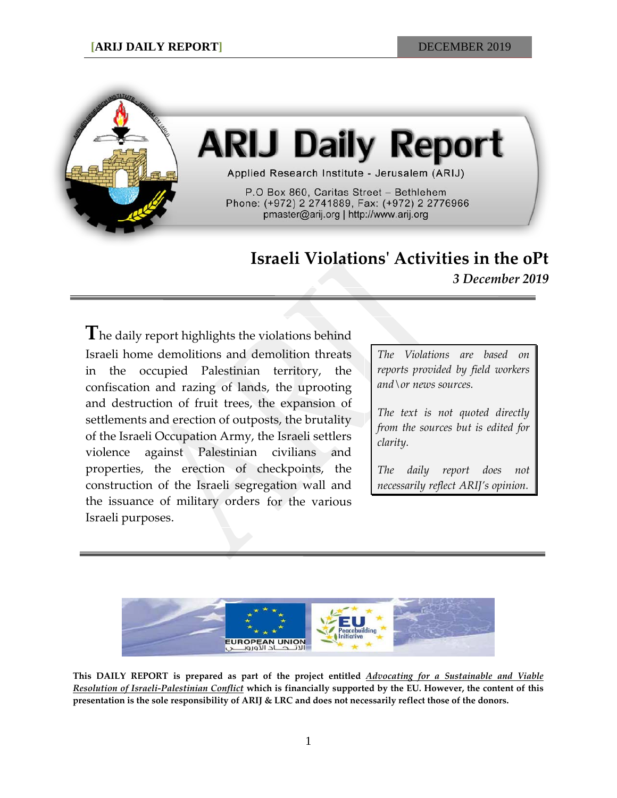

# **ARIJ Daily Report**

Applied Research Institute - Jerusalem (ARIJ)

P.O Box 860, Caritas Street - Bethlehem Phone: (+972) 2 2741889, Fax: (+972) 2 2776966 pmaster@arij.org | http://www.arij.org

# **Israeli Violations' Activities in the oPt**

*3 December 2019*

**T**he daily report highlights the violations behind Israeli home demolitions and demolition threats in the occupied Palestinian territory, the confiscation and razing of lands, the uprooting and destruction of fruit trees, the expansion of settlements and erection of outposts, the brutality of the Israeli Occupation Army, the Israeli settlers violence against Palestinian civilians and properties, the erection of checkpoints, the construction of the Israeli segregation wall and the issuance of military orders for the various Israeli purposes.

*The Violations are based on reports provided by field workers and\or news sources.*

*The text is not quoted directly from the sources but is edited for clarity.*

*The daily report does not necessarily reflect ARIJ's opinion.*



**This DAILY REPORT is prepared as part of the project entitled** *Advocating for a Sustainable and Viable Resolution of Israeli-Palestinian Conflict* **which is financially supported by the EU. However, the content of this presentation is the sole responsibility of ARIJ & LRC and does not necessarily reflect those of the donors.**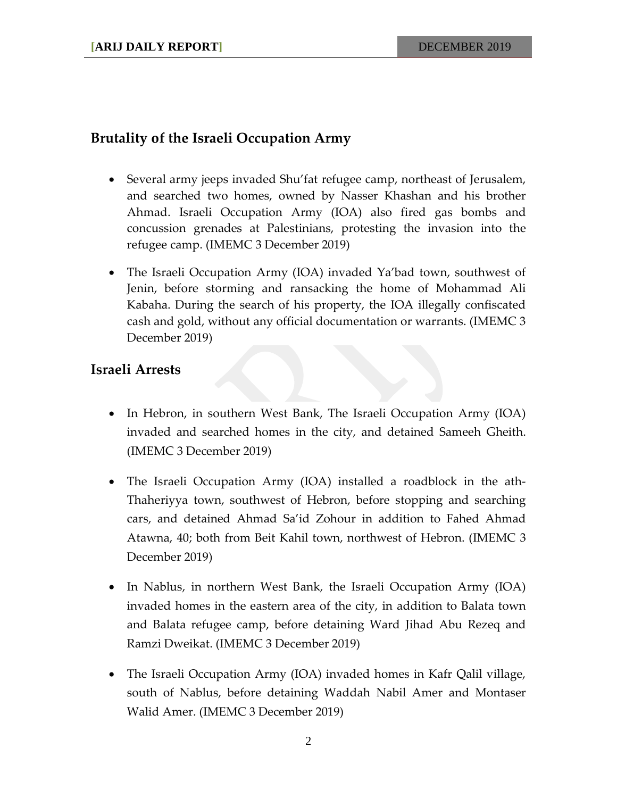### **Brutality of the Israeli Occupation Army**

- Several army jeeps invaded Shu'fat refugee camp, northeast of Jerusalem, and searched two homes, owned by Nasser Khashan and his brother Ahmad. Israeli Occupation Army (IOA) also fired gas bombs and concussion grenades at Palestinians, protesting the invasion into the refugee camp. (IMEMC 3 December 2019)
- The Israeli Occupation Army (IOA) invaded Ya'bad town, southwest of Jenin, before storming and ransacking the home of Mohammad Ali Kabaha. During the search of his property, the IOA illegally confiscated cash and gold, without any official documentation or warrants. (IMEMC 3 December 2019)

#### **Israeli Arrests**

- In Hebron, in southern West Bank, The Israeli Occupation Army (IOA) invaded and searched homes in the city, and detained Sameeh Gheith. (IMEMC 3 December 2019)
- The Israeli Occupation Army (IOA) installed a roadblock in the ath-Thaheriyya town, southwest of Hebron, before stopping and searching cars, and detained Ahmad Sa'id Zohour in addition to Fahed Ahmad Atawna, 40; both from Beit Kahil town, northwest of Hebron. (IMEMC 3 December 2019)
- In Nablus, in northern West Bank, the Israeli Occupation Army (IOA) invaded homes in the eastern area of the city, in addition to Balata town and Balata refugee camp, before detaining Ward Jihad Abu Rezeq and Ramzi Dweikat. (IMEMC 3 December 2019)
- The Israeli Occupation Army (IOA) invaded homes in Kafr Qalil village, south of Nablus, before detaining Waddah Nabil Amer and Montaser Walid Amer. (IMEMC 3 December 2019)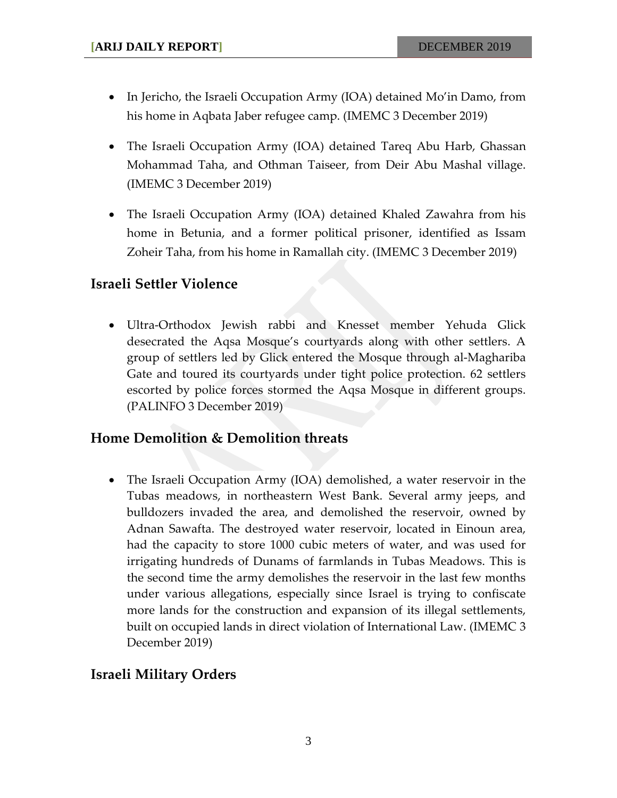- In Jericho, the Israeli Occupation Army (IOA) detained Mo'in Damo, from his home in Aqbata Jaber refugee camp. (IMEMC 3 December 2019)
- The Israeli Occupation Army (IOA) detained Tareq Abu Harb, Ghassan Mohammad Taha, and Othman Taiseer, from Deir Abu Mashal village. (IMEMC 3 December 2019)
- The Israeli Occupation Army (IOA) detained Khaled Zawahra from his home in Betunia, and a former political prisoner, identified as Issam Zoheir Taha, from his home in Ramallah city. (IMEMC 3 December 2019)

## **Israeli Settler Violence**

• Ultra-Orthodox Jewish rabbi and Knesset member Yehuda Glick desecrated the Aqsa Mosque's courtyards along with other settlers. A group of settlers led by Glick entered the Mosque through al-Maghariba Gate and toured its courtyards under tight police protection. 62 settlers escorted by police forces stormed the Aqsa Mosque in different groups. (PALINFO 3 December 2019)

### **Home Demolition & Demolition threats**

• The Israeli Occupation Army (IOA) demolished, a water reservoir in the Tubas meadows, in northeastern West Bank. Several army jeeps, and bulldozers invaded the area, and demolished the reservoir, owned by Adnan Sawafta. The destroyed water reservoir, located in Einoun area, had the capacity to store 1000 cubic meters of water, and was used for irrigating hundreds of Dunams of farmlands in Tubas Meadows. This is the second time the army demolishes the reservoir in the last few months under various allegations, especially since Israel is trying to confiscate more lands for the construction and expansion of its illegal settlements, built on occupied lands in direct violation of International Law. (IMEMC 3 December 2019)

# **Israeli Military Orders**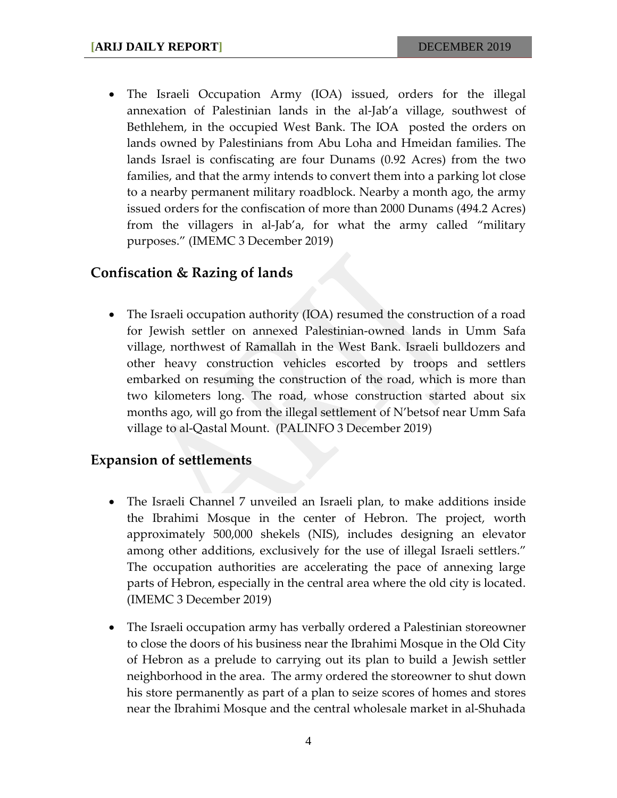• The Israeli Occupation Army (IOA) issued, orders for the illegal annexation of Palestinian lands in the al-Jab'a village, southwest of Bethlehem, in the occupied West Bank. The IOA posted the orders on lands owned by Palestinians from Abu Loha and Hmeidan families. The lands Israel is confiscating are four Dunams (0.92 Acres) from the two families, and that the army intends to convert them into a parking lot close to a nearby permanent military roadblock. Nearby a month ago, the army issued orders for the confiscation of more than 2000 Dunams (494.2 Acres) from the villagers in al-Jab'a, for what the army called "military purposes." (IMEMC 3 December 2019)

#### **Confiscation & Razing of lands**

• The Israeli occupation authority (IOA) resumed the construction of a road for Jewish settler on annexed Palestinian-owned lands in Umm Safa village, northwest of Ramallah in the West Bank. Israeli bulldozers and other heavy construction vehicles escorted by troops and settlers embarked on resuming the construction of the road, which is more than two kilometers long. The road, whose construction started about six months ago, will go from the illegal settlement of N'betsof near Umm Safa village to al-Qastal Mount. (PALINFO 3 December 2019)

#### **Expansion of settlements**

- The Israeli Channel 7 unveiled an Israeli plan, to make additions inside the Ibrahimi Mosque in the center of Hebron. The project, worth approximately 500,000 shekels (NIS), includes designing an elevator among other additions, exclusively for the use of illegal Israeli settlers." The occupation authorities are accelerating the pace of annexing large parts of Hebron, especially in the central area where the old city is located. (IMEMC 3 December 2019)
- The Israeli occupation army has verbally ordered a Palestinian storeowner to close the doors of his business near the Ibrahimi Mosque in the Old City of Hebron as a prelude to carrying out its plan to build a Jewish settler neighborhood in the area. The army ordered the storeowner to shut down his store permanently as part of a plan to seize scores of homes and stores near the Ibrahimi Mosque and the central wholesale market in al-Shuhada